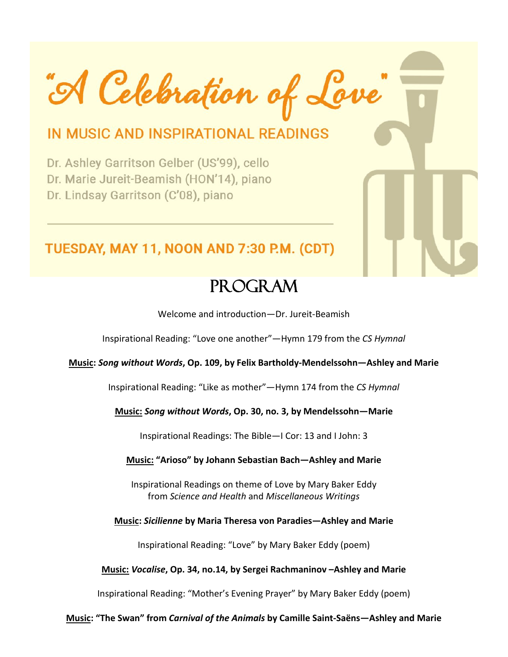"A Celebration of Love"

# IN MUSIC AND INSPIRATIONAL READINGS

Dr. Ashley Garritson Gelber (US'99), cello Dr. Marie Jureit-Beamish (HON'14), piano Dr. Lindsay Garritson (C'08), piano

# TUESDAY, MAY 11, NOON AND 7:30 P.M. (CDT)

# Program

Welcome and introduction—Dr. Jureit-Beamish

Inspirational Reading: "Love one another"—Hymn 179 from the *CS Hymnal*

#### **Music:** *Song without Words***, Op. 109, by Felix Bartholdy-Mendelssohn—Ashley and Marie**

Inspirational Reading: "Like as mother"—Hymn 174 from the *CS Hymnal*

#### **Music:** *Song without Words***, Op. 30, no. 3, by Mendelssohn—Marie**

Inspirational Readings: The Bible—I Cor: 13 and I John: 3

#### **Music: "Arioso" by Johann Sebastian Bach—Ashley and Marie**

Inspirational Readings on theme of Love by Mary Baker Eddy from *Science and Health* and *Miscellaneous Writings*

#### **Music:** *Sicilienne* **by Maria Theresa von Paradies—Ashley and Marie**

Inspirational Reading: "Love" by Mary Baker Eddy (poem)

#### **Music:** *Vocalise***, Op. 34, no.14, by Sergei Rachmaninov –Ashley and Marie**

Inspirational Reading: "Mother's Evening Prayer" by Mary Baker Eddy (poem)

#### **Music: "The Swan" from** *Carnival of the Animals* **by Camille Saint-Saëns—Ashley and Marie**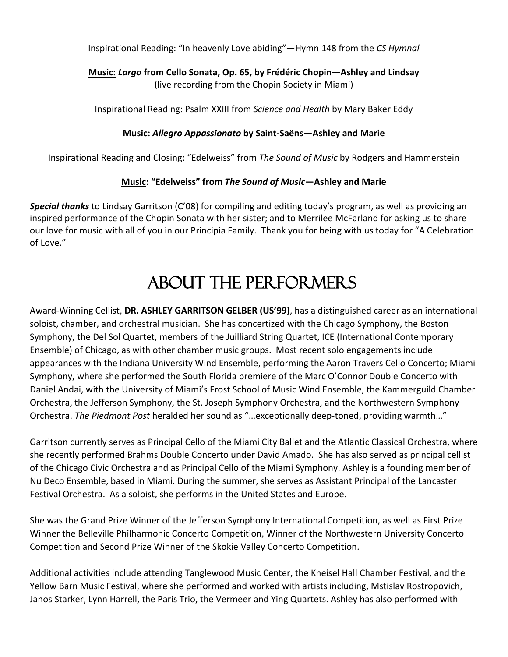Inspirational Reading: "In heavenly Love abiding"—Hymn 148 from the *CS Hymnal*

## **Music:** *Largo* **from Cello Sonata, Op. 65, by Frédéric Chopin—Ashley and Lindsay** (live recording from the Chopin Society in Miami)

Inspirational Reading: Psalm XXIII from *Science and Health* by Mary Baker Eddy

### **Music:** *Allegro Appassionato* **by Saint-Saëns—Ashley and Marie**

Inspirational Reading and Closing: "Edelweiss" from *The Sound of Music* by Rodgers and Hammerstein

### **Music: "Edelweiss" from** *The Sound of Music***—Ashley and Marie**

*Special thanks* to Lindsay Garritson (C'08) for compiling and editing today's program, as well as providing an inspired performance of the Chopin Sonata with her sister; and to Merrilee McFarland for asking us to share our love for music with all of you in our Principia Family. Thank you for being with us today for "A Celebration of Love."

# ABOUT THE PERFORMERS

Award-Winning Cellist, **DR. ASHLEY GARRITSON GELBER (US'99)**, has a distinguished career as an international soloist, chamber, and orchestral musician. She has concertized with the Chicago Symphony, the Boston Symphony, the Del Sol Quartet, members of the Juilliard String Quartet, ICE (International Contemporary Ensemble) of Chicago, as with other chamber music groups. Most recent solo engagements include appearances with the Indiana University Wind Ensemble, performing the Aaron Travers Cello Concerto; Miami Symphony, where she performed the South Florida premiere of the Marc O'Connor Double Concerto with Daniel Andai, with the University of Miami's Frost School of Music Wind Ensemble, the Kammerguild Chamber Orchestra, the Jefferson Symphony, the St. Joseph Symphony Orchestra, and the Northwestern Symphony Orchestra. *The Piedmont Post* heralded her sound as "…exceptionally deep-toned, providing warmth…"

Garritson currently serves as Principal Cello of the Miami City Ballet and the Atlantic Classical Orchestra, where she recently performed Brahms Double Concerto under David Amado. She has also served as principal cellist of the Chicago Civic Orchestra and as Principal Cello of the Miami Symphony. Ashley is a founding member of Nu Deco Ensemble, based in Miami. During the summer, she serves as Assistant Principal of the Lancaster Festival Orchestra. As a soloist, she performs in the United States and Europe.

She was the Grand Prize Winner of the Jefferson Symphony International Competition, as well as First Prize Winner the Belleville Philharmonic Concerto Competition, Winner of the Northwestern University Concerto Competition and Second Prize Winner of the Skokie Valley Concerto Competition.

Additional activities include attending Tanglewood Music Center, the Kneisel Hall Chamber Festival, and the Yellow Barn Music Festival, where she performed and worked with artists including, Mstislav Rostropovich, Janos Starker, Lynn Harrell, the Paris Trio, the Vermeer and Ying Quartets. Ashley has also performed with